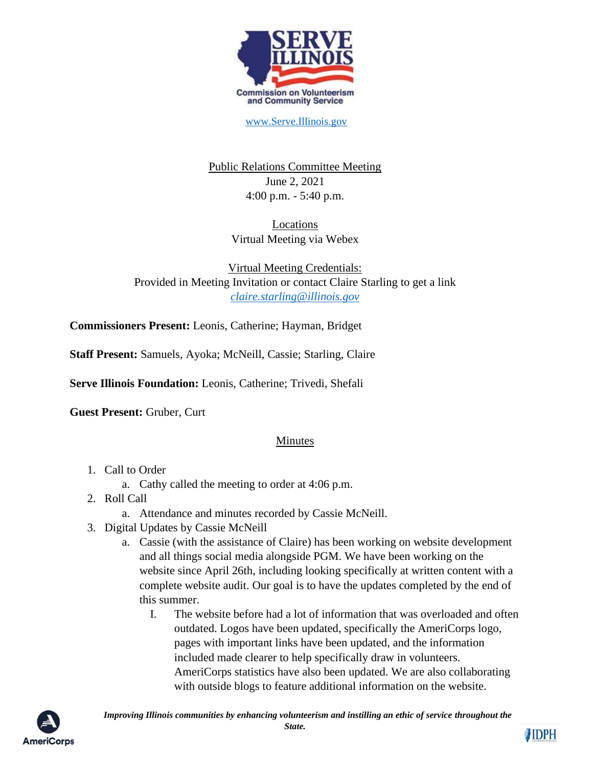

[www.Serve.Illinois.gov](http://www.serve.illinois.gov/)

Public Relations Committee Meeting June 2, 2021 4:00 p.m. - 5:40 p.m.

> Locations Virtual Meeting via Webex

Virtual Meeting Credentials: Provided in Meeting Invitation or contact Claire Starling to get a link *[claire.starling@illinois.gov](mailto:claire.starling@illinois.gov)*

**Commissioners Present:** Leonis, Catherine; Hayman, Bridget

**Staff Present:** Samuels, Ayoka; McNeill, Cassie; Starling, Claire

**Serve Illinois Foundation:** Leonis, Catherine; Trivedi, Shefali

**Guest Present:** Gruber, Curt

## **Minutes**

- 1. Call to Order
	- a. Cathy called the meeting to order at 4:06 p.m.
- 2. Roll Call
	- a. Attendance and minutes recorded by Cassie McNeill.
- 3. Digital Updates by Cassie McNeill
	- a. Cassie (with the assistance of Claire) has been working on website development and all things social media alongside PGM. We have been working on the website since April 26th, including looking specifically at written content with a complete website audit. Our goal is to have the updates completed by the end of this summer.
		- I. The website before had a lot of information that was overloaded and often outdated. Logos have been updated, specifically the AmeriCorps logo, pages with important links have been updated, and the information included made clearer to help specifically draw in volunteers. AmeriCorps statistics have also been updated. We are also collaborating with outside blogs to feature additional information on the website.



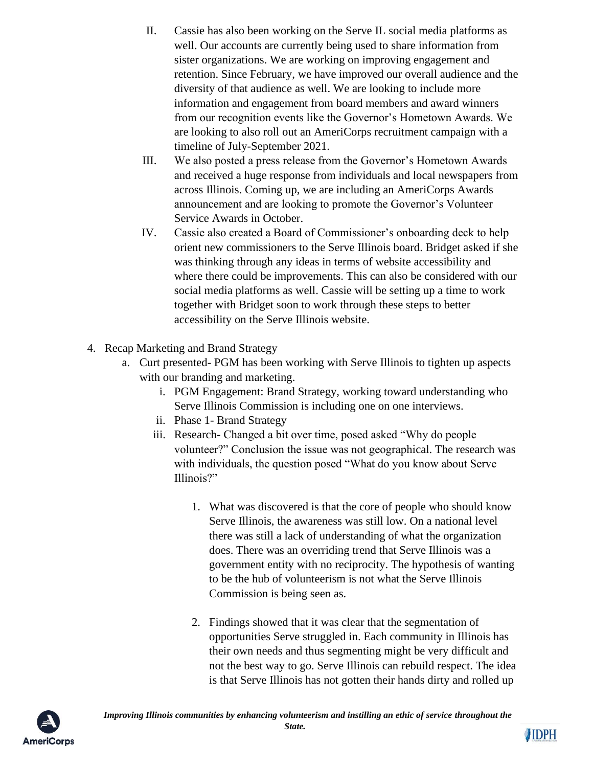- II. Cassie has also been working on the Serve IL social media platforms as well. Our accounts are currently being used to share information from sister organizations. We are working on improving engagement and retention. Since February, we have improved our overall audience and the diversity of that audience as well. We are looking to include more information and engagement from board members and award winners from our recognition events like the Governor's Hometown Awards. We are looking to also roll out an AmeriCorps recruitment campaign with a timeline of July-September 2021.
- III. We also posted a press release from the Governor's Hometown Awards and received a huge response from individuals and local newspapers from across Illinois. Coming up, we are including an AmeriCorps Awards announcement and are looking to promote the Governor's Volunteer Service Awards in October.
- IV. Cassie also created a Board of Commissioner's onboarding deck to help orient new commissioners to the Serve Illinois board. Bridget asked if she was thinking through any ideas in terms of website accessibility and where there could be improvements. This can also be considered with our social media platforms as well. Cassie will be setting up a time to work together with Bridget soon to work through these steps to better accessibility on the Serve Illinois website.
- 4. Recap Marketing and Brand Strategy
	- a. Curt presented- PGM has been working with Serve Illinois to tighten up aspects with our branding and marketing.
		- i. PGM Engagement: Brand Strategy, working toward understanding who Serve Illinois Commission is including one on one interviews.
		- ii. Phase 1- Brand Strategy
		- iii. Research- Changed a bit over time, posed asked "Why do people volunteer?" Conclusion the issue was not geographical. The research was with individuals, the question posed "What do you know about Serve Illinois?"
			- 1. What was discovered is that the core of people who should know Serve Illinois, the awareness was still low. On a national level there was still a lack of understanding of what the organization does. There was an overriding trend that Serve Illinois was a government entity with no reciprocity. The hypothesis of wanting to be the hub of volunteerism is not what the Serve Illinois Commission is being seen as.
			- 2. Findings showed that it was clear that the segmentation of opportunities Serve struggled in. Each community in Illinois has their own needs and thus segmenting might be very difficult and not the best way to go. Serve Illinois can rebuild respect. The idea is that Serve Illinois has not gotten their hands dirty and rolled up



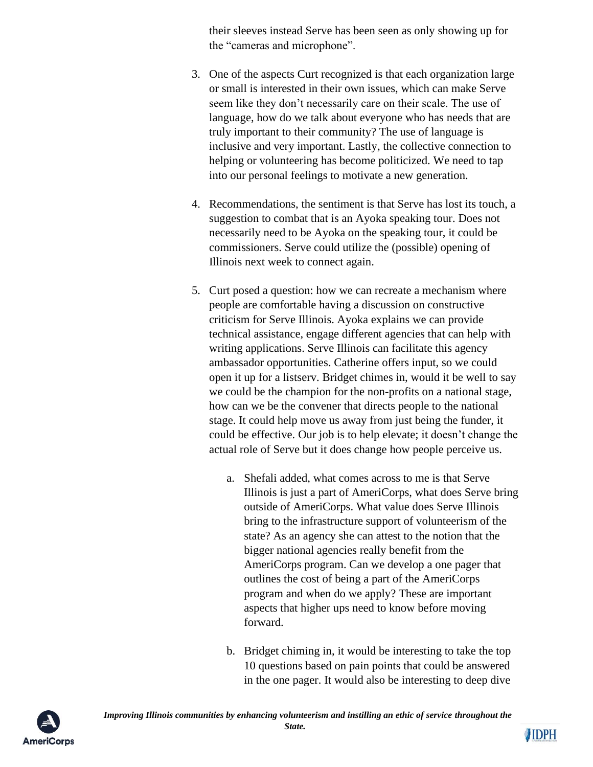their sleeves instead Serve has been seen as only showing up for the "cameras and microphone".

- 3. One of the aspects Curt recognized is that each organization large or small is interested in their own issues, which can make Serve seem like they don't necessarily care on their scale. The use of language, how do we talk about everyone who has needs that are truly important to their community? The use of language is inclusive and very important. Lastly, the collective connection to helping or volunteering has become politicized. We need to tap into our personal feelings to motivate a new generation.
- 4. Recommendations, the sentiment is that Serve has lost its touch, a suggestion to combat that is an Ayoka speaking tour. Does not necessarily need to be Ayoka on the speaking tour, it could be commissioners. Serve could utilize the (possible) opening of Illinois next week to connect again.
- 5. Curt posed a question: how we can recreate a mechanism where people are comfortable having a discussion on constructive criticism for Serve Illinois. Ayoka explains we can provide technical assistance, engage different agencies that can help with writing applications. Serve Illinois can facilitate this agency ambassador opportunities. Catherine offers input, so we could open it up for a listserv. Bridget chimes in, would it be well to say we could be the champion for the non-profits on a national stage, how can we be the convener that directs people to the national stage. It could help move us away from just being the funder, it could be effective. Our job is to help elevate; it doesn't change the actual role of Serve but it does change how people perceive us.
	- a. Shefali added, what comes across to me is that Serve Illinois is just a part of AmeriCorps, what does Serve bring outside of AmeriCorps. What value does Serve Illinois bring to the infrastructure support of volunteerism of the state? As an agency she can attest to the notion that the bigger national agencies really benefit from the AmeriCorps program. Can we develop a one pager that outlines the cost of being a part of the AmeriCorps program and when do we apply? These are important aspects that higher ups need to know before moving forward.
	- b. Bridget chiming in, it would be interesting to take the top 10 questions based on pain points that could be answered in the one pager. It would also be interesting to deep dive



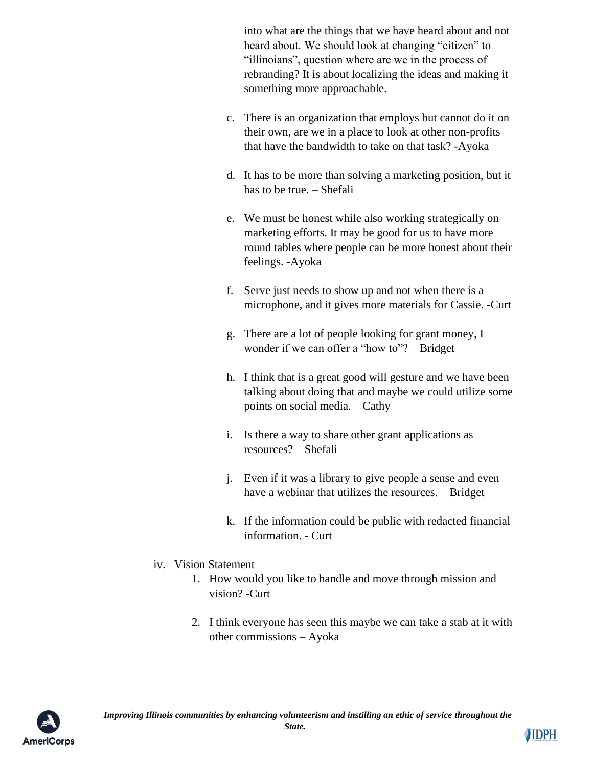into what are the things that we have heard about and not heard about. We should look at changing "citizen" to "illinoians", question where are we in the process of rebranding? It is about localizing the ideas and making it something more approachable.

- c. There is an organization that employs but cannot do it on their own, are we in a place to look at other non-profits that have the bandwidth to take on that task? -Ayoka
- d. It has to be more than solving a marketing position, but it has to be true. – Shefali
- e. We must be honest while also working strategically on marketing efforts. It may be good for us to have more round tables where people can be more honest about their feelings. -Ayoka
- f. Serve just needs to show up and not when there is a microphone, and it gives more materials for Cassie. -Curt
- g. There are a lot of people looking for grant money, I wonder if we can offer a "how to"? – Bridget
- h. I think that is a great good will gesture and we have been talking about doing that and maybe we could utilize some points on social media. – Cathy
- i. Is there a way to share other grant applications as resources? – Shefali
- j. Even if it was a library to give people a sense and even have a webinar that utilizes the resources. – Bridget
- k. If the information could be public with redacted financial information. - Curt

## iv. Vision Statement

- 1. How would you like to handle and move through mission and vision? -Curt
- 2. I think everyone has seen this maybe we can take a stab at it with other commissions – Ayoka



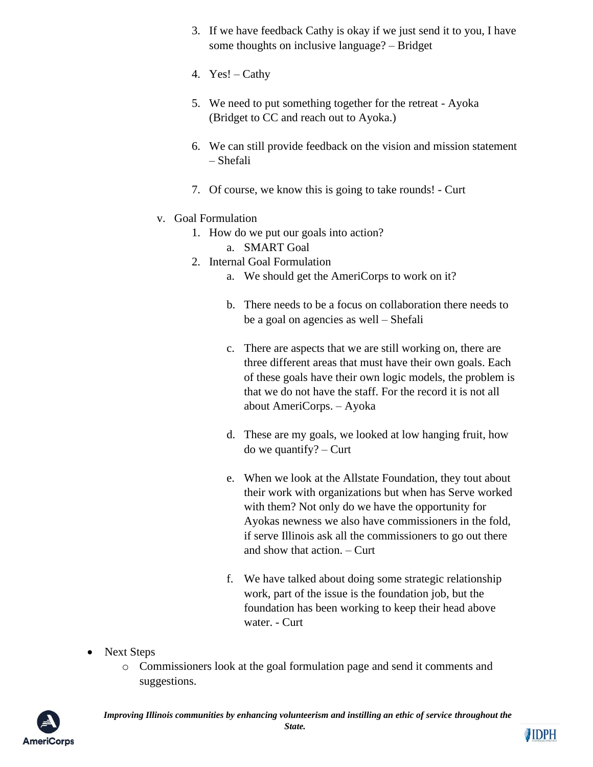- 3. If we have feedback Cathy is okay if we just send it to you, I have some thoughts on inclusive language? – Bridget
- 4. Yes! Cathy
- 5. We need to put something together for the retreat Ayoka (Bridget to CC and reach out to Ayoka.)
- 6. We can still provide feedback on the vision and mission statement – Shefali
- 7. Of course, we know this is going to take rounds! Curt
- v. Goal Formulation
	- 1. How do we put our goals into action?
		- a. SMART Goal
	- 2. Internal Goal Formulation
		- a. We should get the AmeriCorps to work on it?
		- b. There needs to be a focus on collaboration there needs to be a goal on agencies as well – Shefali
		- c. There are aspects that we are still working on, there are three different areas that must have their own goals. Each of these goals have their own logic models, the problem is that we do not have the staff. For the record it is not all about AmeriCorps. – Ayoka
		- d. These are my goals, we looked at low hanging fruit, how do we quantify? – Curt
		- e. When we look at the Allstate Foundation, they tout about their work with organizations but when has Serve worked with them? Not only do we have the opportunity for Ayokas newness we also have commissioners in the fold, if serve Illinois ask all the commissioners to go out there and show that action. – Curt
		- f. We have talked about doing some strategic relationship work, part of the issue is the foundation job, but the foundation has been working to keep their head above water. - Curt
- Next Steps
	- o Commissioners look at the goal formulation page and send it comments and suggestions.